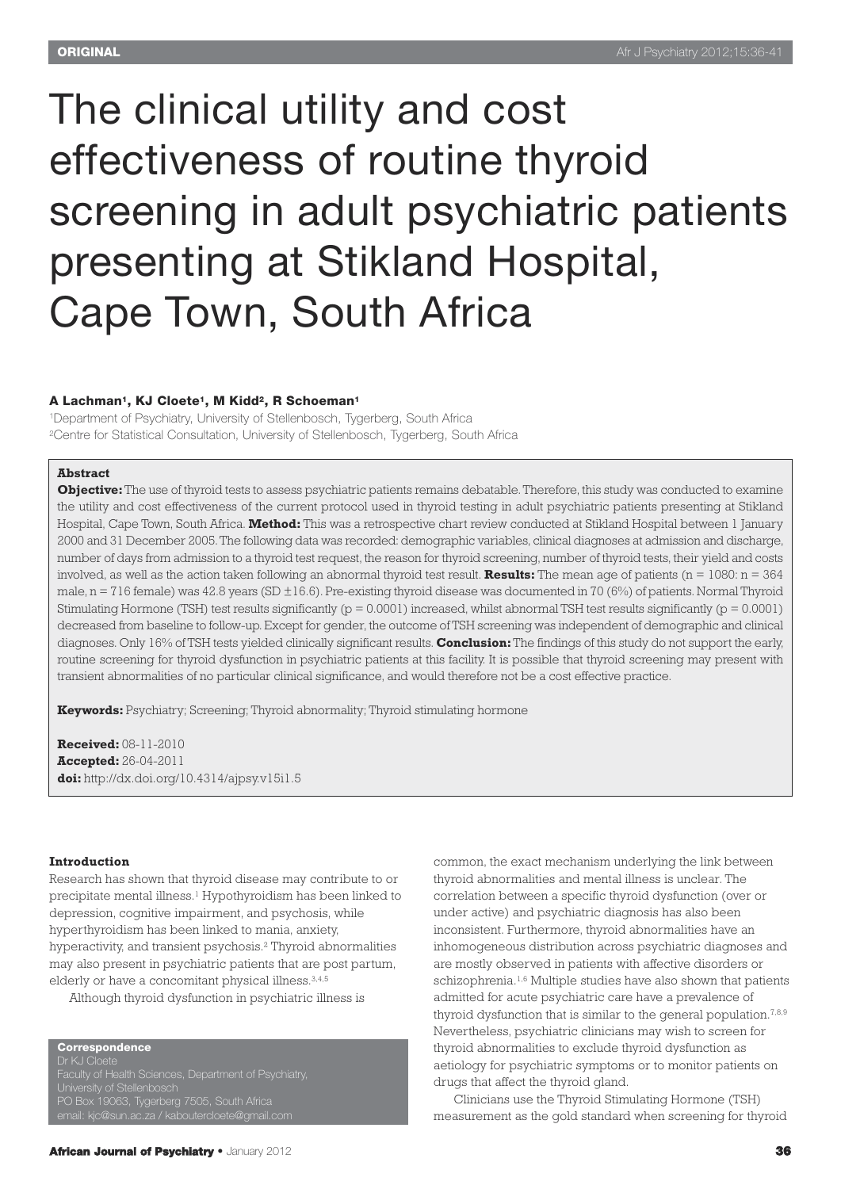# The clinical utility and cost effectiveness of routine thyroid screening in adult psychiatric patients presenting at Stikland Hospital, Cape Town, South Africa

### **A Lachman1, KJ Cloete1, M Kidd2, R Schoeman1**

1Department of Psychiatry, University of Stellenbosch, Tygerberg, South Africa <sup>2</sup>Centre for Statistical Consultation, University of Stellenbosch, Tygerberg, South Africa

# **Abstract**

**Objective:**The use of thyroid tests to assess psychiatric patients remains debatable.Therefore, this study was conducted to examine the utility and cost effectiveness of the current protocol used in thyroid testing in adult psychiatric patients presenting at Stikland Hospital, Cape Town, South Africa. **Method:** This was a retrospective chart review conducted at Stikland Hospital between 1 January 2000 and 31 December 2005.The following data was recorded: demographic variables, clinical diagnoses at admission and discharge, number of days from admission to a thyroid test request, the reason for thyroid screening, number of thyroid tests, their yield and costs involved, as well as the action taken following an abnormal thyroid test result. **Results:** The mean age of patients (n = 1080: n = 364 male, n = 716 female) was 42.8 years (SD ±16.6). Pre-existing thyroid disease was documented in 70 (6%) of patients. Normal Thyroid Stimulating Hormone (TSH) test results significantly (p = 0.0001) increased, whilst abnormal TSH test results significantly (p = 0.0001) decreased from baseline to follow-up. Except for gender, the outcome of TSH screening was independent of demographic and clinical diagnoses. Only 16% of TSH tests yielded clinically significant results. **Conclusion:**The findings of this study do not support the early, routine screening for thyroid dysfunction in psychiatric patients at this facility. It is possible that thyroid screening may present with transient abnormalities of no particular clinical significance, and would therefore not be a cost effective practice.

**Keywords:** Psychiatry; Screening; Thyroid abnormality; Thyroid stimulating hormone

**Received:** 08-11-2010 **Accepted:** 26-04-2011 **doi:** http://dx.doi.org/10.4314/ajpsy.v15i1.5

#### **Introduction**

Research has shown that thyroid disease may contribute to or precipitate mental illness. <sup>1</sup> Hypothyroidism has been linked to depression, cognitive impairment, and psychosis, while hyperthyroidism has been linked to mania, anxiety, hyperactivity, and transient psychosis. <sup>2</sup> Thyroid abnormalities may also present in psychiatric patients that are post partum, elderly or have a concomitant physical illness. 3,4,5

Although thyroid dysfunction in psychiatric illness is

# **Correspondence**

Dr KJ Cloete PO Box 19063, Tygerberg 7505, South Africa email: kjc@sun.ac.za / kaboutercloete@gmail.com

common, the exact mechanism underlying the link between thyroid abnormalities and mental illness is unclear. The correlation between a specific thyroid dysfunction (over or under active) and psychiatric diagnosis has also been inconsistent. Furthermore, thyroid abnormalities have an inhomogeneous distribution across psychiatric diagnoses and are mostly observed in patients with affective disorders or schizophrenia. 1,6 Multiple studies have also shown that patients admitted for acute psychiatric care have a prevalence of thyroid dysfunction that is similar to the general population.<sup>7,8,9</sup> Nevertheless, psychiatric clinicians may wish to screen for thyroid abnormalities to exclude thyroid dysfunction as aetiology for psychiatric symptoms or to monitor patients on drugs that affect the thyroid gland.

Clinicians use the Thyroid Stimulating Hormone (TSH) measurement as the gold standard when screening for thyroid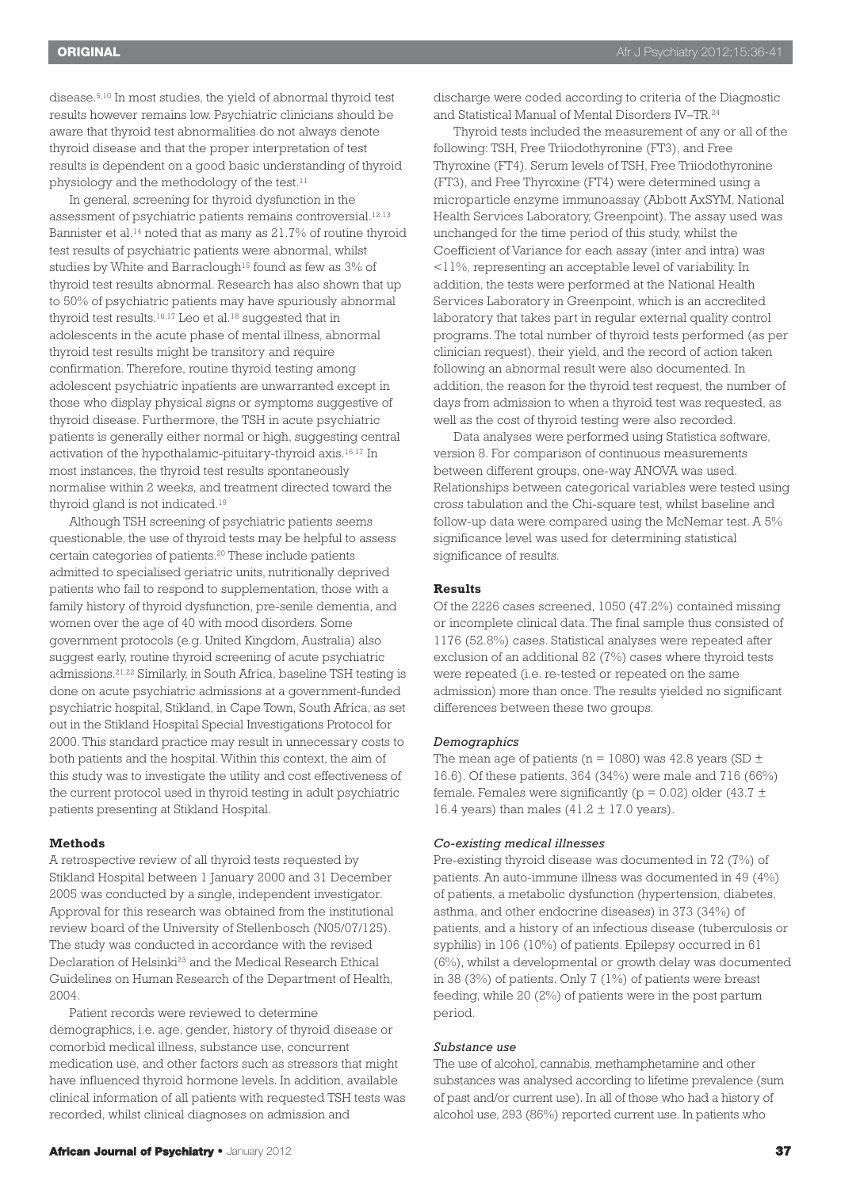disease. 5,10 In most studies, the yield of abnormal thyroid test results however remains low. Psychiatric clinicians should be aware that thyroid test abnormalities do not always denote thyroid disease and that the proper interpretation of test results is dependent on a good basic understanding of thyroid physiology and the methodology of the test.<sup>11</sup>

In general, screening for thyroid dysfunction in the assessment of psychiatric patients remains controversial. 12,13 Bannister et al. <sup>14</sup> noted that as many as 21.7% of routine thyroid test results of psychiatric patients were abnormal, whilst studies by White and Barraclough<sup>15</sup> found as few as 3% of thyroid test results abnormal. Research has also shown that up to 50% of psychiatric patients may have spuriously abnormal thyroid test results. 16,17 Leo et al. <sup>18</sup> suggested that in adolescents in the acute phase of mental illness, abnormal thyroid test results might be transitory and require confirmation. Therefore, routine thyroid testing among adolescent psychiatric inpatients are unwarranted except in those who display physical signs or symptoms suggestive of thyroid disease. Furthermore, the TSH in acute psychiatric patients is generally either normal or high, suggesting central activation of the hypothalamic-pituitary-thyroid axis. 16,17 In most instances, the thyroid test results spontaneously normalise within 2 weeks, and treatment directed toward the thyroid gland is not indicated. 19

Although TSH screening of psychiatric patients seems questionable, the use of thyroid tests may be helpful to assess certain categories of patients. <sup>20</sup> These include patients admitted to specialised geriatric units, nutritionally deprived patients who fail to respond to supplementation, those with a family history of thyroid dysfunction, pre-senile dementia, and women over the age of 40 with mood disorders. Some government protocols (e.g. United Kingdom, Australia) also suggest early, routine thyroid screening of acute psychiatric admissions. 21,22 Similarly, in South Africa, baseline TSH testing is done on acute psychiatric admissions at a government-funded psychiatric hospital, Stikland, in Cape Town, South Africa, as set out in the Stikland Hospital Special Investigations Protocol for 2000. This standard practice may result in unnecessary costs to both patients and the hospital. Within this context, the aim of this study was to investigate the utility and cost effectiveness of the current protocol used in thyroid testing in adult psychiatric patients presenting at Stikland Hospital.

#### **Methods**

A retrospective review of all thyroid tests requested by Stikland Hospital between 1 January 2000 and 31 December 2005 was conducted by a single, independent investigator. Approval for this research was obtained from the institutional review board of the University of Stellenbosch (N05/07/125). The study was conducted in accordance with the revised Declaration of Helsinki <sup>23</sup> and the Medical Research Ethical Guidelines on Human Research of the Department of Health, 2004.

Patient records were reviewed to determine demographics, i.e. age, gender, history of thyroid disease or comorbid medical illness, substance use, concurrent medication use, and other factors such as stressors that might have influenced thyroid hormone levels. In addition, available clinical information of all patients with requested TSH tests was recorded, whilst clinical diagnoses on admission and

discharge were coded according to criteria of the Diagnostic and Statistical Manual of Mental Disorders IV–TR. 24

Thyroid tests included the measurement of any or all of the following: TSH, Free Triiodothyronine (FT3), and Free Thyroxine (FT4). Serum levels of TSH, Free Triiodothyronine (FT3), and Free Thyroxine (FT4) were determined using a microparticle enzyme immunoassay (Abbott AxSYM, National Health Services Laboratory, Greenpoint). The assay used was unchanged for the time period of this study, whilst the Coefficient of Variance for each assay (inter and intra) was <11%, representing an acceptable level of variability. In addition, the tests were performed at the National Health Services Laboratory in Greenpoint, which is an accredited laboratory that takes part in regular external quality control programs. The total number of thyroid tests performed (as per clinician request), their yield, and the record of action taken following an abnormal result were also documented. In addition, the reason for the thyroid test request, the number of days from admission to when a thyroid test was requested, as well as the cost of thyroid testing were also recorded.

Data analyses were performed using Statistica software, version 8. For comparison of continuous measurements between different groups, one-way ANOVA was used. Relationships between categorical variables were tested using cross tabulation and the Chi-square test, whilst baseline and follow-up data were compared using the McNemar test. A 5% significance level was used for determining statistical significance of results.

#### **Results**

Of the 2226 cases screened, 1050 (47.2%) contained missing or incomplete clinical data. The final sample thus consisted of 1176 (52.8%) cases. Statistical analyses were repeated after exclusion of an additional 82 (7%) cases where thyroid tests were repeated (i.e. re-tested or repeated on the same admission) more than once. The results yielded no significant differences between these two groups.

# *Demographics*

The mean age of patients ( $n = 1080$ ) was 42.8 years (SD  $\pm$ 16.6). Of these patients, 364 (34%) were male and 716 (66%) female. Females were significantly ( $p = 0.02$ ) older (43.7  $\pm$ 16.4 years) than males  $(41.2 \pm 17.0 \text{ years})$ .

# *Co-existing medical illnesses*

Pre-existing thyroid disease was documented in 72 (7%) of patients. An auto-immune illness was documented in 49 (4%) of patients, a metabolic dysfunction (hypertension, diabetes, asthma, and other endocrine diseases) in 373 (34%) of patients, and a history of an infectious disease (tuberculosis or syphilis) in 106 (10%) of patients. Epilepsy occurred in 61 (6%), whilst a developmental or growth delay was documented in 38 (3%) of patients. Only 7 (1%) of patients were breast feeding, while 20 (2%) of patients were in the post partum period.

#### *Substance use*

The use of alcohol, cannabis, methamphetamine and other substances was analysed according to lifetime prevalence (sum of past and/or current use). In all of those who had a history of alcohol use, 293 (86%) reported current use. In patients who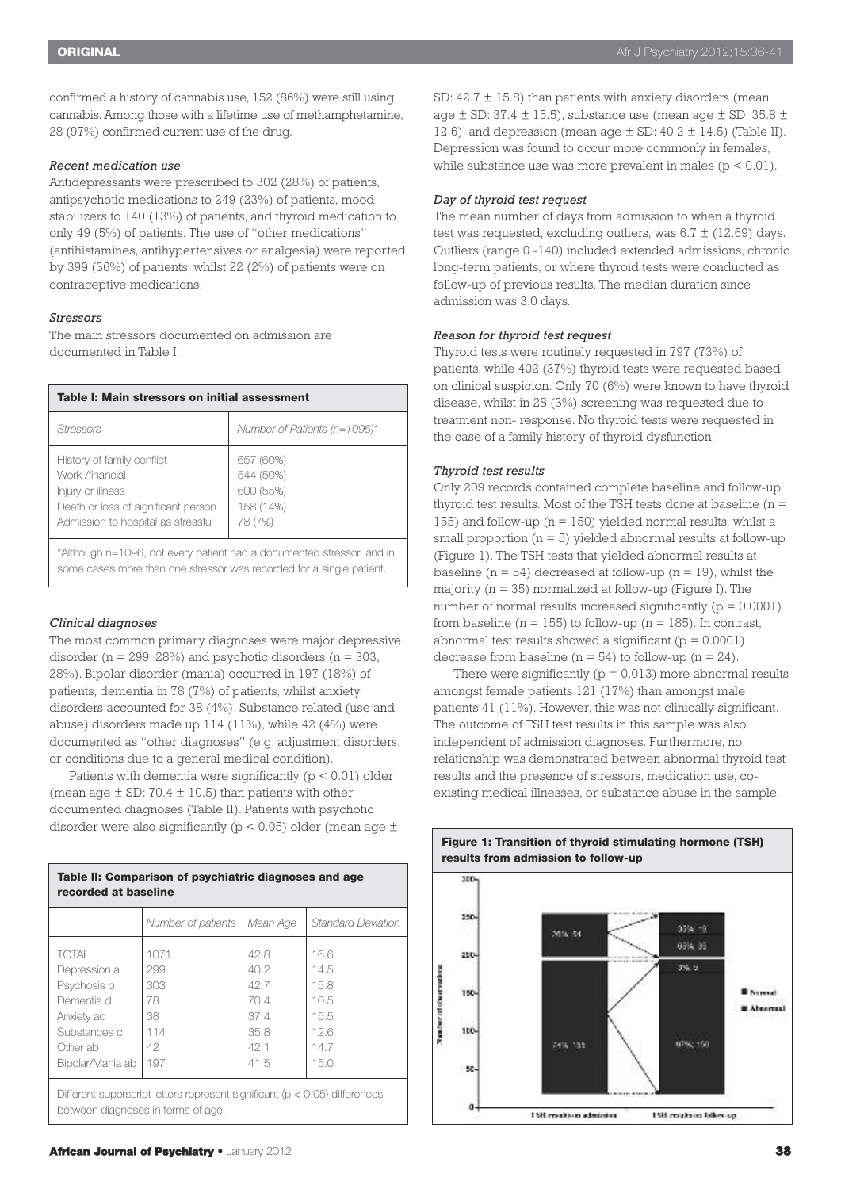**ORIGINAL CONSTRUCT CONSTRUCTED A CONSTRUCT A CONSTRUCT A CONSTRUCT A CONSTRUCT A CONSTRUCT A CONSTRUCT A CONSTRUCT A CONSTRUCT A CONSTRUCT A CONSTRUCT A CONSTRUCT A CONSTRUCT A CONSTRUCT A CONSTRUCT A CONSTRUCT A CONS** 

confirmed a history of cannabis use, 152 (86%) were still using cannabis. Among those with a lifetime use of methamphetamine, 28 (97%) confirmed current use of the drug.

#### *Recent medication use*

Antidepressants were prescribed to 302 (28%) of patients, antipsychotic medications to 249 (23%) of patients, mood stabilizers to 140 (13%) of patients, and thyroid medication to only 49 (5%) of patients. The use of "other medications" (antihistamines, antihypertensives or analgesia) were reported by 399 (36%) of patients, whilst 22 (2%) of patients were on contraceptive medications.

# *Stressors*

The main stressors documented on admission are documented in Table I.

| Table I: Main stressors on initial assessment                                                                                                   |                                                             |  |  |
|-------------------------------------------------------------------------------------------------------------------------------------------------|-------------------------------------------------------------|--|--|
| Stressors                                                                                                                                       | Number of Patients (n=1096)*                                |  |  |
| History of family conflict<br>Work /financial<br>Injury or illness<br>Death or loss of significant person<br>Admission to hospital as stressful | 657 (60%)<br>544 (50%)<br>600 (55%)<br>158 (14%)<br>78 (7%) |  |  |
| $*$ Although n $\Delta$ 0.08 not overvise that hed a dooumented etresser and in                                                                 |                                                             |  |  |

lthough n=1096, not every patient had a documented stressor, and in some cases more than one stressor was recorded for a single patient.

# *Clinical diagnoses*

The most common primary diagnoses were major depressive disorder ( $n = 299, 28\%$ ) and psychotic disorders ( $n = 303$ , 28%). Bipolar disorder (mania) occurred in 197 (18%) of patients, dementia in 78 (7%) of patients, whilst anxiety disorders accounted for 38 (4%). Substance related (use and abuse) disorders made up 114 (11%), while 42 (4%) were documented as "other diagnoses" (e.g. adjustment disorders, or conditions due to a general medical condition).

Patients with dementia were significantly  $(p < 0.01)$  older (mean age  $\pm$  SD: 70.4  $\pm$  10.5) than patients with other documented diagnoses (Table II). Patients with psychotic disorder were also significantly ( $p < 0.05$ ) older (mean age  $\pm$ 

|                  | Number of patients | Mean Age | Standard Deviation |
|------------------|--------------------|----------|--------------------|
| <b>TOTAL</b>     | 1071               | 42.8     | 16.6               |
| Depression a     | 299                | 40.2     | 14.5               |
| Psychosis b      | 303                | 42.7     | 15.8               |
| Dementia d       | 78                 | 70.4     | 10.5               |
| Anxiety ac       | 38                 | 37.4     | 15.5               |
| Substances c     | 114                | 35.8     | 12.6               |
| Other ab         | 42                 | 42.1     | 14.7               |
| Bipolar/Mania ab | 197                | 41.5     | 15.0               |

SD:  $42.7 \pm 15.8$ ) than patients with anxiety disorders (mean age  $\pm$  SD: 37.4  $\pm$  15.5), substance use (mean age  $\pm$  SD: 35.8  $\pm$ 12.6), and depression (mean age  $\pm$  SD: 40.2  $\pm$  14.5) (Table II). Depression was found to occur more commonly in females, while substance use was more prevalent in males  $(p < 0.01)$ .

#### *Day of thyroid test request*

The mean number of days from admission to when a thyroid test was requested, excluding outliers, was  $6.7 \pm (12.69)$  days. Outliers (range 0 -140) included extended admissions, chronic long-term patients, or where thyroid tests were conducted as follow-up of previous results. The median duration since admission was 3.0 days.

#### *Reason for thyroid test request*

Thyroid tests were routinely requested in 797 (73%) of patients, while 402 (37%) thyroid tests were requested based on clinical suspicion. Only 70 (6%) were known to have thyroid disease, whilst in 28 (3%) screening was requested due to treatment non- response. No thyroid tests were requested in the case of a family history of thyroid dysfunction.

## *Thyroid test results*

Only 209 records contained complete baseline and follow-up thyroid test results. Most of the TSH tests done at baseline (n = 155) and follow-up ( $n = 150$ ) yielded normal results, whilst a small proportion  $(n = 5)$  yielded abnormal results at follow-up (Figure 1). The TSH tests that yielded abnormal results at baseline ( $n = 54$ ) decreased at follow-up ( $n = 19$ ), whilst the majority ( $n = 35$ ) normalized at follow-up (Figure I). The number of normal results increased significantly  $(p = 0.0001)$ from baseline ( $n = 155$ ) to follow-up ( $n = 185$ ). In contrast, abnormal test results showed a significant  $(p = 0.0001)$ decrease from baseline  $(n = 54)$  to follow-up  $(n = 24)$ .

There were significantly ( $p = 0.013$ ) more abnormal results amongst female patients 121 (17%) than amongst male patients 41 (11%). However, this was not clinically significant. The outcome of TSH test results in this sample was also independent of admission diagnoses. Furthermore, no relationship was demonstrated between abnormal thyroid test results and the presence of stressors, medication use, coexisting medical illnesses, or substance abuse in the sample.

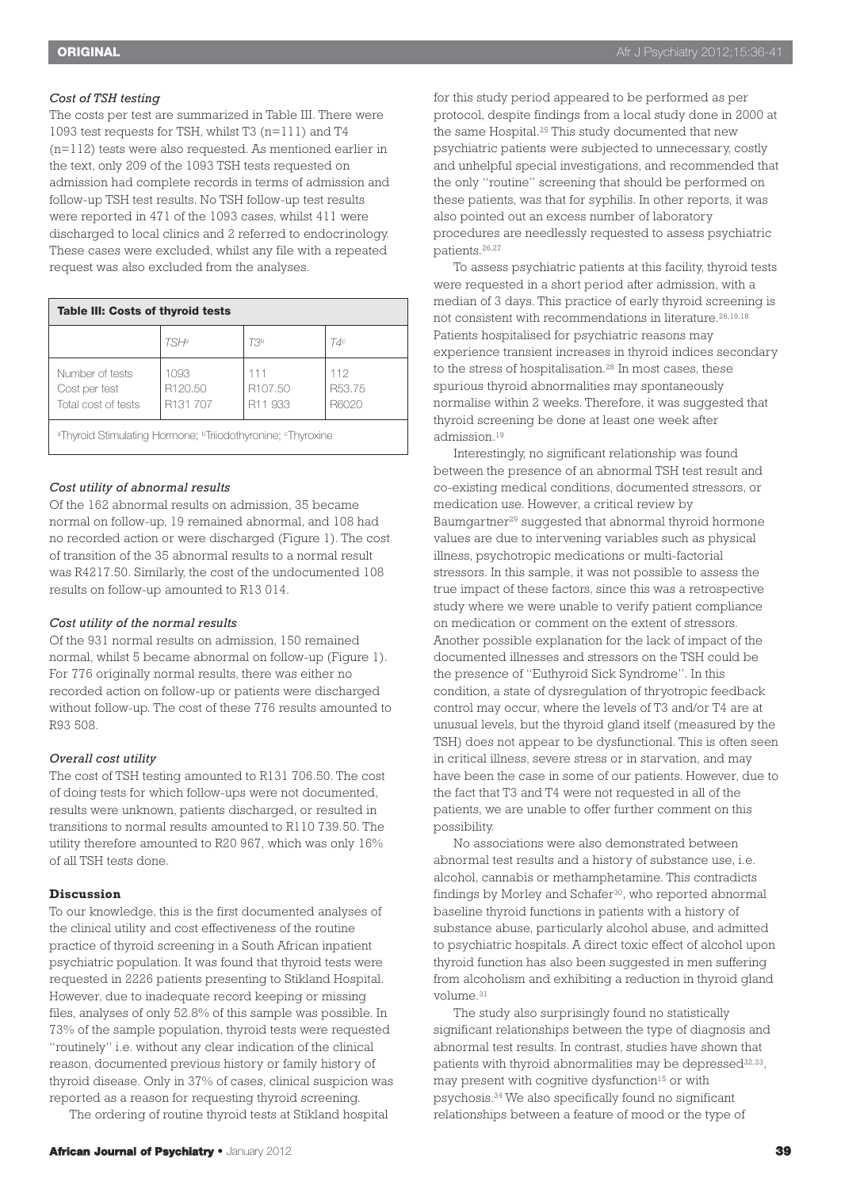#### *Cost of TSH testing*

The costs per test are summarized in Table III. There were 1093 test requests for TSH, whilst T3 (n=111) and T4 (n=112) tests were also requested. As mentioned earlier in the text, only 209 of the 1093 TSH tests requested on admission had complete records in terms of admission and follow-up TSH test results. No TSH follow-up test results were reported in 471 of the 1093 cases, whilst 411 were discharged to local clinics and 2 referred to endocrinology. These cases were excluded, whilst any file with a repeated request was also excluded from the analyses.

| <b>Table III: Costs of thyroid tests</b>                |                             |                                       |                        |  |  |
|---------------------------------------------------------|-----------------------------|---------------------------------------|------------------------|--|--|
|                                                         | T.SHa                       | T,3b                                  | 74c                    |  |  |
| Number of tests<br>Cost per test<br>Total cost of tests | 1093<br>R120.50<br>R131 707 | 111<br>R107.50<br>R <sub>11</sub> 933 | 112<br>R53.75<br>R6020 |  |  |

aThyroid Stimulating Hormone; <sup>b</sup>Triiodothyronine; <sup>c</sup>Thyroxine

### *Cost utility of abnormal results*

Of the 162 abnormal results on admission, 35 became normal on follow-up, 19 remained abnormal, and 108 had no recorded action or were discharged (Figure 1). The cost of transition of the 35 abnormal results to a normal result was R4217.50. Similarly, the cost of the undocumented 108 results on follow-up amounted to R13 014.

#### *Cost utility of the normal results*

Of the 931 normal results on admission, 150 remained normal, whilst 5 became abnormal on follow-up (Figure 1). For 776 originally normal results, there was either no recorded action on follow-up or patients were discharged without follow-up. The cost of these 776 results amounted to R93 508.

#### *Overall cost utility*

The cost of TSH testing amounted to R131 706.50. The cost of doing tests for which follow-ups were not documented, results were unknown, patients discharged, or resulted in transitions to normal results amounted to R110 739.50. The utility therefore amounted to R20 967, which was only 16% of all TSH tests done.

#### **Discussion**

To our knowledge, this is the first documented analyses of the clinical utility and cost effectiveness of the routine practice of thyroid screening in a South African inpatient psychiatric population. It was found that thyroid tests were requested in 2226 patients presenting to Stikland Hospital. However, due to inadequate record keeping or missing files, analyses of only 52.8% of this sample was possible. In 73% of the sample population, thyroid tests were requested "routinely" i.e. without any clear indication of the clinical reason, documented previous history or family history of thyroid disease. Only in 37% of cases, clinical suspicion was reported as a reason for requesting thyroid screening.

The ordering of routine thyroid tests at Stikland hospital

for this study period appeared to be performed as per protocol, despite findings from a local study done in 2000 at the same Hospital. <sup>25</sup> This study documented that new psychiatric patients were subjected to unnecessary, costly and unhelpful special investigations, and recommended that the only "routine" screening that should be performed on these patients, was that for syphilis. In other reports, it was also pointed out an excess number of laboratory procedures are needlessly requested to assess psychiatric patients. 26,27

To assess psychiatric patients at this facility, thyroid tests were requested in a short period after admission, with a median of 3 days. This practice of early thyroid screening is not consistent with recommendations in literature. 26,19,18 Patients hospitalised for psychiatric reasons may experience transient increases in thyroid indices secondary to the stress of hospitalisation. <sup>28</sup> In most cases, these spurious thyroid abnormalities may spontaneously normalise within 2 weeks. Therefore, it was suggested that thyroid screening be done at least one week after admission. 19

Interestingly, no significant relationship was found between the presence of an abnormal TSH test result and co-existing medical conditions, documented stressors, or medication use. However, a critical review by Baumgartner29 suggested that abnormal thyroid hormone values are due to intervening variables such as physical illness, psychotropic medications or multi-factorial stressors. In this sample, it was not possible to assess the true impact of these factors, since this was a retrospective study where we were unable to verify patient compliance on medication or comment on the extent of stressors. Another possible explanation for the lack of impact of the documented illnesses and stressors on the TSH could be the presence of "Euthyroid Sick Syndrome". In this condition, a state of dysregulation of thryotropic feedback control may occur, where the levels of T3 and/or T4 are at unusual levels, but the thyroid gland itself (measured by the TSH) does not appear to be dysfunctional. This is often seen in critical illness, severe stress or in starvation, and may have been the case in some of our patients. However, due to the fact that T3 and T4 were not requested in all of the patients, we are unable to offer further comment on this possibility.

No associations were also demonstrated between abnormal test results and a history of substance use, i.e. alcohol, cannabis or methamphetamine. This contradicts findings by Morley and Schafer<sup>30</sup>, who reported abnormal baseline thyroid functions in patients with a history of substance abuse, particularly alcohol abuse, and admitted to psychiatric hospitals. A direct toxic effect of alcohol upon thyroid function has also been suggested in men suffering from alcoholism and exhibiting a reduction in thyroid gland volume. 31

The study also surprisingly found no statistically significant relationships between the type of diagnosis and abnormal test results. In contrast, studies have shown that patients with thyroid abnormalities may be depressed<sup>32,33</sup>, may present with cognitive dysfunction<sup>15</sup> or with psychosis. <sup>34</sup> We also specifically found no significant relationships between a feature of mood or the type of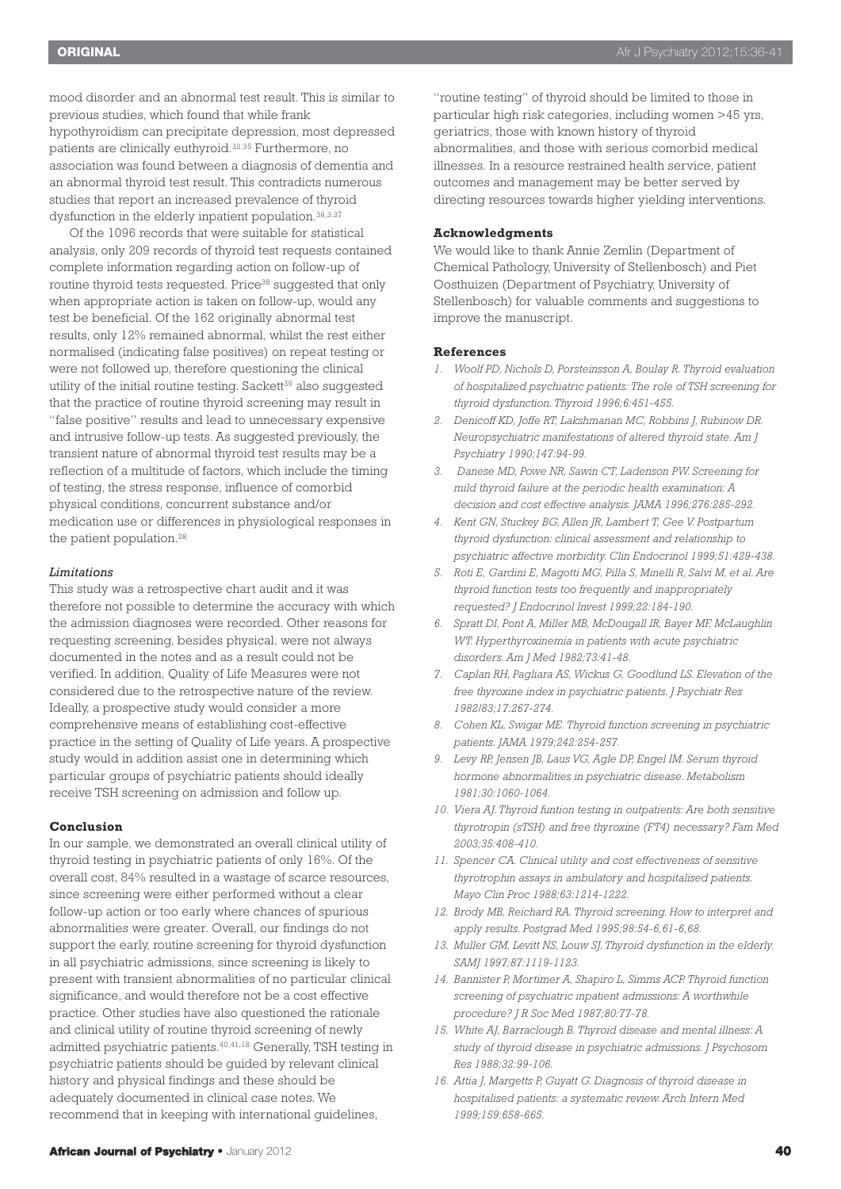mood disorder and an abnormal test result. This is similar to previous studies, which found that while frank hypothyroidism can precipitate depression, most depressed patients are clinically euthyroid. 32,35 Furthermore, no association was found between a diagnosis of dementia and an abnormal thyroid test result. This contradicts numerous studies that report an increased prevalence of thyroid dysfunction in the elderly inpatient population. 36,3,37

Of the 1096 records that were suitable for statistical analysis, only 209 records of thyroid test requests contained complete information regarding action on follow-up of routine thyroid tests requested. Price<sup>38</sup> suggested that only when appropriate action is taken on follow-up, would any test be beneficial. Of the 162 originally abnormal test results, only 12% remained abnormal, whilst the rest either normalised (indicating false positives) on repeat testing or were not followed up, therefore questioning the clinical utility of the initial routine testing. Sackett<sup>39</sup> also suggested that the practice of routine thyroid screening may result in "false positive" results and lead to unnecessary expensive and intrusive follow-up tests. As suggested previously, the transient nature of abnormal thyroid test results may be a reflection of a multitude of factors, which include the timing of testing, the stress response, influence of comorbid physical conditions, concurrent substance and/or medication use or differences in physiological responses in the patient population. 28

#### *Limitations*

This study was a retrospective chart audit and it was therefore not possible to determine the accuracy with which the admission diagnoses were recorded. Other reasons for requesting screening, besides physical, were not always documented in the notes and as a result could not be verified. In addition, Quality of Life Measures were not considered due to the retrospective nature of the review. Ideally, a prospective study would consider a more comprehensive means of establishing cost-effective practice in the setting of Quality of Life years. A prospective study would in addition assist one in determining which particular groups of psychiatric patients should ideally receive TSH screening on admission and follow up.

#### **Conclusion**

In our sample, we demonstrated an overall clinical utility of thyroid testing in psychiatric patients of only 16%. Of the overall cost, 84% resulted in a wastage of scarce resources, since screening were either performed without a clear follow-up action or too early where chances of spurious abnormalities were greater. Overall, our findings do not support the early, routine screening for thyroid dysfunction in all psychiatric admissions, since screening is likely to present with transient abnormalities of no particular clinical significance, and would therefore not be a cost effective practice. Other studies have also questioned the rationale and clinical utility of routine thyroid screening of newly admitted psychiatric patients. 40,41,18 Generally, TSH testing in psychiatric patients should be guided by relevant clinical history and physical findings and these should be adequately documented in clinical case notes. We recommend that in keeping with international guidelines,

"routine testing" of thyroid should be limited to those in particular high risk categories, including women >45 yrs, geriatrics, those with known history of thyroid abnormalities, and those with serious comorbid medical illnesses. In a resource restrained health service, patient outcomes and management may be better served by directing resources towards higher yielding interventions.

#### **Acknowledgments**

We would like to thank Annie Zemlin (Department of Chemical Pathology, University of Stellenbosch) and Piet Oosthuizen (Department of Psychiatry, University of Stellenbosch) for valuable comments and suggestions to improve the manuscript.

### **References**

- *1. Woolf PD, Nichols D, Porsteinsson A, Boulay R. Thyroid evaluation of hospitalized psychiatric patients: The role of TSH screening for thyroid dysfunction. Thyroid 1996;6:451-455.*
- *2. Denicoff KD, Joffe RT, Lakshmanan MC, Robbins J, Rubinow DR. Neuropsychiatric manifestations of altered thyroid state. Am J Psychiatry 1990;147:94-99.*
- *3. Danese MD, Powe NR, Sawin CT, Ladenson PW. Screening for mild thyroid failure at the periodic health examination: A decision and cost effective analysis. JAMA 1996;276:285-292.*
- *4. Kent GN, Stuckey BG, Allen JR, Lambert T, Gee V. Postpartum thyroid dysfunction: clinical assessment and relationship to psychiatric affective morbidity. Clin Endocrinol 1999;51:429-438.*
- *5. Roti E, Gardini E, Magotti MG, Pilla S, Minelli R, Salvi M, et al. Are thyroid function tests too frequently and inappropriately requested? J Endocrinol Invest 1999;22:184-190.*
- *6. Spratt DI, Pont A, Miller MB, McDougall IR, Bayer MF, McLaughlin WT. Hyperthyroxinemia in patients with acute psychiatric disorders. Am J Med 1982;73:41-48.*
- *7. Caplan RH, Pagliara AS, Wickus G, Goodlund LS. Elevation of the free thyroxine index in psychiatric patients. J Psychiatr Res 1982/83;17:267-274.*
- *8. Cohen KL, Swigar ME. Thyroid function screening in psychiatric patients. JAMA 1979;242:254-257.*
- *9. Levy RP, Jensen JB, Laus VG, Agle DP, Engel IM. Serum thyroid hormone abnormalities in psychiatric disease. Metabolism 1981;30:1060-1064.*
- *10. Viera AJ. Thyroid funtion testing in outpatients: Are both sensitive thyrotropin (sTSH) and free thyroxine (FT4) necessary? Fam Med 2003;35:408-410.*
- *11. Spencer CA. Clinical utility and cost effectiveness of sensitive thyrotrophin assays in ambulatory and hospitalised patients. Mayo Clin Proc 1988;63:1214-1222.*
- *12. Brody MB, Reichard RA. Thyroid screening. How to interpret and apply results. Postgrad Med 1995;98:54-6,61-6,68.*
- *13. Muller GM, Levitt NS, Louw SJ. Thyroid dysfunction in the elderly. SAMJ 1997;87:1119-1123.*
- *14. Bannister P, Mortimer A, Shapiro L, Simms ACP. Thyroid function screening of psychiatric inpatient admissions: A worthwhile procedure? J R Soc Med 1987;80:77-78.*
- *15. White AJ, Barraclough B. Thyroid disease and mental illness: A study of thyroid disease in psychiatric admissions. J Psychosom Res 1988;32:99-106.*
- *16. Attia J, Margetts P, Guyatt G. Diagnosis of thyroid disease in hospitalised patients: a systematic review. Arch Intern Med 1999;159:658-665.*